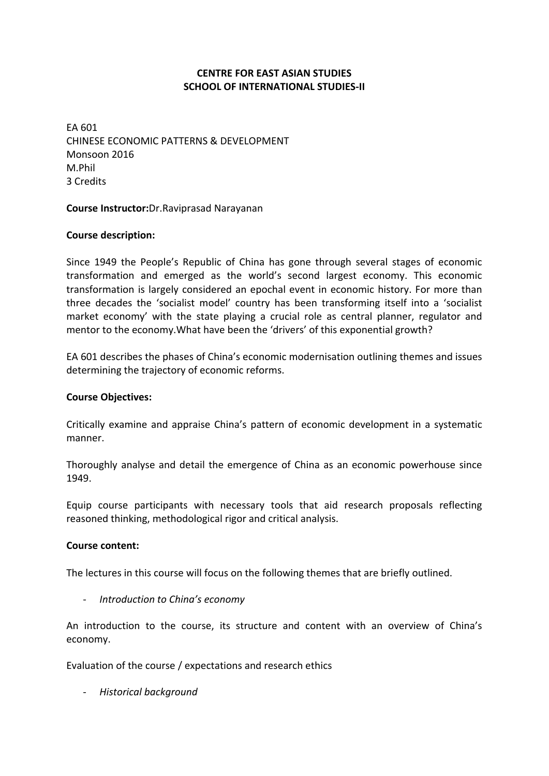## **CENTRE FOR EAST ASIAN STUDIES SCHOOL OF INTERNATIONAL STUDIES‐II**

EA 601 CHINESE ECONOMIC PATTERNS & DEVELOPMENT Monsoon 2016 M.Phil 3 Credits

### **Course Instructor:**Dr.Raviprasad Narayanan

## **Course description:**

Since 1949 the People's Republic of China has gone through several stages of economic transformation and emerged as the world's second largest economy. This economic transformation is largely considered an epochal event in economic history. For more than three decades the 'socialist model' country has been transforming itself into a 'socialist market economy' with the state playing a crucial role as central planner, regulator and mentor to the economy.What have been the 'drivers' of this exponential growth?

EA 601 describes the phases of China's economic modernisation outlining themes and issues determining the trajectory of economic reforms.

### **Course Objectives:**

Critically examine and appraise China's pattern of economic development in a systematic manner.

Thoroughly analyse and detail the emergence of China as an economic powerhouse since 1949.

Equip course participants with necessary tools that aid research proposals reflecting reasoned thinking, methodological rigor and critical analysis.

### **Course content:**

The lectures in this course will focus on the following themes that are briefly outlined.

‐ *Introduction to China's economy*

An introduction to the course, its structure and content with an overview of China's economy.

Evaluation of the course / expectations and research ethics

‐ *Historical background*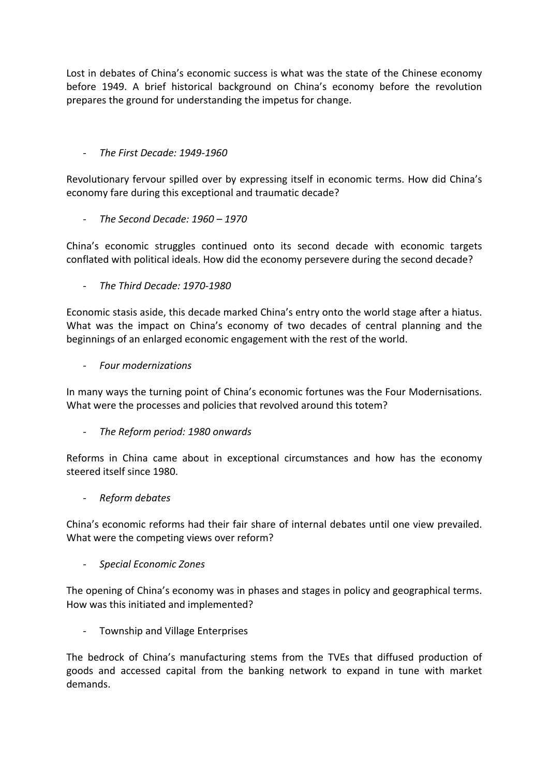Lost in debates of China's economic success is what was the state of the Chinese economy before 1949. A brief historical background on China's economy before the revolution prepares the ground for understanding the impetus for change.

# ‐ *The First Decade: 1949‐1960*

Revolutionary fervour spilled over by expressing itself in economic terms. How did China's economy fare during this exceptional and traumatic decade?

‐ *The Second Decade: 1960 – 1970*

China's economic struggles continued onto its second decade with economic targets conflated with political ideals. How did the economy persevere during the second decade?

‐ *The Third Decade: 1970‐1980*

Economic stasis aside, this decade marked China's entry onto the world stage after a hiatus. What was the impact on China's economy of two decades of central planning and the beginnings of an enlarged economic engagement with the rest of the world.

‐ *Four modernizations*

In many ways the turning point of China's economic fortunes was the Four Modernisations. What were the processes and policies that revolved around this totem?

‐ *The Reform period: 1980 onwards* 

Reforms in China came about in exceptional circumstances and how has the economy steered itself since 1980.

‐ *Reform debates*

China's economic reforms had their fair share of internal debates until one view prevailed. What were the competing views over reform?

‐ *Special Economic Zones*

The opening of China's economy was in phases and stages in policy and geographical terms. How was this initiated and implemented?

‐ Township and Village Enterprises

The bedrock of China's manufacturing stems from the TVEs that diffused production of goods and accessed capital from the banking network to expand in tune with market demands.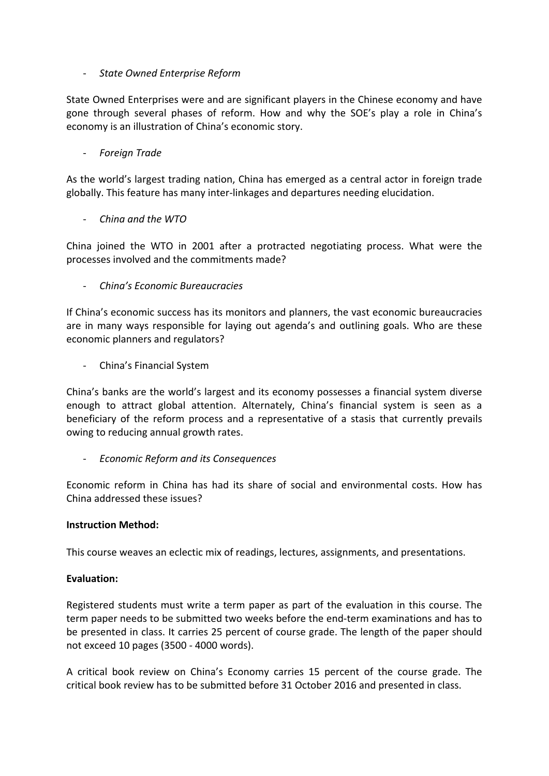## ‐ *State Owned Enterprise Reform*

State Owned Enterprises were and are significant players in the Chinese economy and have gone through several phases of reform. How and why the SOE's play a role in China's economy is an illustration of China's economic story.

## ‐ *Foreign Trade*

As the world's largest trading nation, China has emerged as a central actor in foreign trade globally. This feature has many inter‐linkages and departures needing elucidation.

# ‐ *China and the WTO*

China joined the WTO in 2001 after a protracted negotiating process. What were the processes involved and the commitments made?

‐ *China's Economic Bureaucracies*

If China's economic success has its monitors and planners, the vast economic bureaucracies are in many ways responsible for laying out agenda's and outlining goals. Who are these economic planners and regulators?

‐ China's Financial System

China's banks are the world's largest and its economy possesses a financial system diverse enough to attract global attention. Alternately, China's financial system is seen as a beneficiary of the reform process and a representative of a stasis that currently prevails owing to reducing annual growth rates.

‐ *Economic Reform and its Consequences*

Economic reform in China has had its share of social and environmental costs. How has China addressed these issues?

## **Instruction Method:**

This course weaves an eclectic mix of readings, lectures, assignments, and presentations.

## **Evaluation:**

Registered students must write a term paper as part of the evaluation in this course. The term paper needs to be submitted two weeks before the end‐term examinations and has to be presented in class. It carries 25 percent of course grade. The length of the paper should not exceed 10 pages (3500 ‐ 4000 words).

A critical book review on China's Economy carries 15 percent of the course grade. The critical book review has to be submitted before 31 October 2016 and presented in class.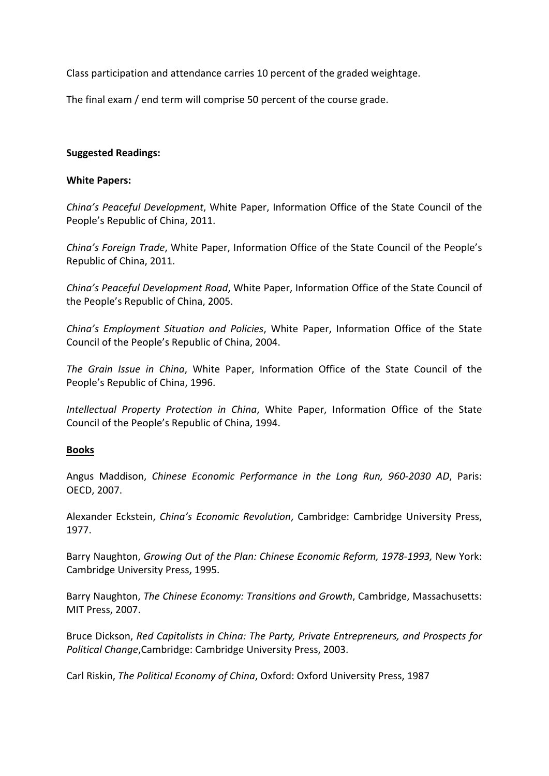Class participation and attendance carries 10 percent of the graded weightage.

The final exam / end term will comprise 50 percent of the course grade.

### **Suggested Readings:**

#### **White Papers:**

*China's Peaceful Development*, White Paper, Information Office of the State Council of the People's Republic of China, 2011.

*China's Foreign Trade*, White Paper, Information Office of the State Council of the People's Republic of China, 2011.

*China's Peaceful Development Road*, White Paper, Information Office of the State Council of the People's Republic of China, 2005.

*China's Employment Situation and Policies*, White Paper, Information Office of the State Council of the People's Republic of China, 2004.

*The Grain Issue in China*, White Paper, Information Office of the State Council of the People's Republic of China, 1996.

*Intellectual Property Protection in China*, White Paper, Information Office of the State Council of the People's Republic of China, 1994.

### **Books**

Angus Maddison, *Chinese Economic Performance in the Long Run, 960‐2030 AD*, Paris: OECD, 2007.

Alexander Eckstein, *China's Economic Revolution*, Cambridge: Cambridge University Press, 1977.

Barry Naughton, *Growing Out of the Plan: Chinese Economic Reform, 1978‐1993,* New York: Cambridge University Press, 1995.

Barry Naughton, *The Chinese Economy: Transitions and Growth*, Cambridge, Massachusetts: MIT Press, 2007.

Bruce Dickson, *Red Capitalists in China: The Party, Private Entrepreneurs, and Prospects for Political Change*,Cambridge: Cambridge University Press, 2003.

Carl Riskin, *The Political Economy of China*, Oxford: Oxford University Press, 1987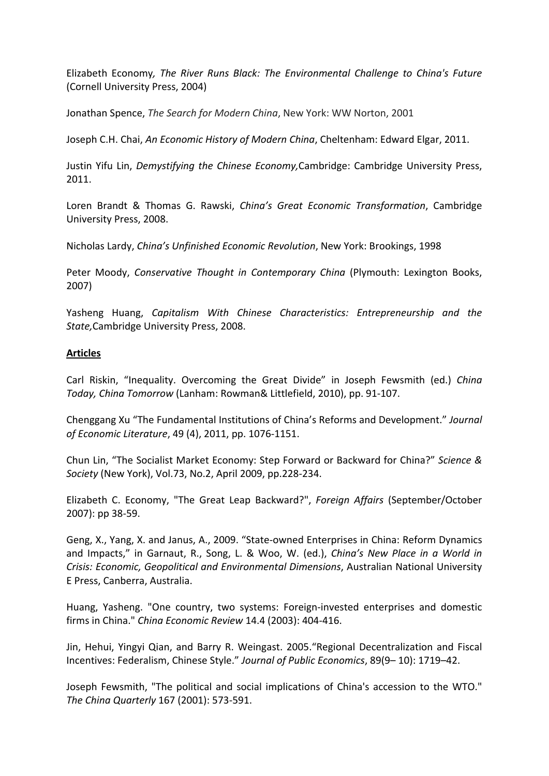Elizabeth Economy*, The River Runs Black: The Environmental Challenge to China's Future* (Cornell University Press, 2004)

Jonathan Spence, *The Search for Modern China*, New York: WW Norton, 2001

Joseph C.H. Chai, *An Economic History of Modern China*, Cheltenham: Edward Elgar, 2011.

Justin Yifu Lin, *Demystifying the Chinese Economy,*Cambridge: Cambridge University Press, 2011.

Loren Brandt & Thomas G. Rawski, *China's Great Economic Transformation*, Cambridge University Press, 2008.

Nicholas Lardy, *China's Unfinished Economic Revolution*, New York: Brookings, 1998

Peter Moody, *Conservative Thought in Contemporary China* (Plymouth: Lexington Books, 2007)

Yasheng Huang, *Capitalism With Chinese Characteristics: Entrepreneurship and the State,*Cambridge University Press, 2008.

### **Articles**

Carl Riskin, "Inequality. Overcoming the Great Divide" in Joseph Fewsmith (ed.) *China Today, China Tomorrow* (Lanham: Rowman& Littlefield, 2010), pp. 91‐107.

Chenggang Xu "The Fundamental Institutions of China's Reforms and Development." *Journal of Economic Literature*, 49 (4), 2011, pp. 1076‐1151.

Chun Lin, "The Socialist Market Economy: Step Forward or Backward for China?" *Science & Society* (New York), Vol.73, No.2, April 2009, pp.228‐234.

Elizabeth C. Economy, "The Great Leap Backward?", *Foreign Affairs* (September/October 2007): pp 38‐59.

Geng, X., Yang, X. and Janus, A., 2009. "State‐owned Enterprises in China: Reform Dynamics and Impacts," in Garnaut, R., Song, L. & Woo, W. (ed.), *China's New Place in a World in Crisis: Economic, Geopolitical and Environmental Dimensions*, Australian National University E Press, Canberra, Australia.

Huang, Yasheng. "One country, two systems: Foreign‐invested enterprises and domestic firms in China." *China Economic Review* 14.4 (2003): 404‐416.

Jin, Hehui, Yingyi Qian, and Barry R. Weingast. 2005."Regional Decentralization and Fiscal Incentives: Federalism, Chinese Style." *Journal of Public Economics*, 89(9– 10): 1719–42.

Joseph Fewsmith, "The political and social implications of China's accession to the WTO." *The China Quarterly* 167 (2001): 573‐591.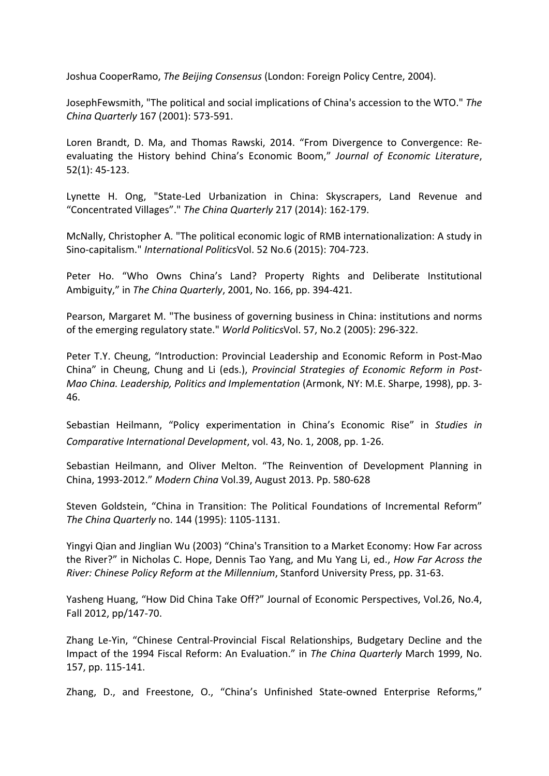Joshua CooperRamo, *The Beijing Consensus* (London: Foreign Policy Centre, 2004).

JosephFewsmith, "The political and social implications of China's accession to the WTO." *The China Quarterly* 167 (2001): 573‐591.

Loren Brandt, D. Ma, and Thomas Rawski, 2014. "From Divergence to Convergence: Re‐ evaluating the History behind China's Economic Boom," *Journal of Economic Literature*, 52(1): 45‐123.

Lynette H. Ong, "State‐Led Urbanization in China: Skyscrapers, Land Revenue and "Concentrated Villages"." *The China Quarterly* 217 (2014): 162‐179.

McNally, Christopher A. "The political economic logic of RMB internationalization: A study in Sino‐capitalism." *International Politics*Vol. 52 No.6 (2015): 704‐723.

Peter Ho. "Who Owns China's Land? Property Rights and Deliberate Institutional Ambiguity," in *The China Quarterly*, 2001, No. 166, pp. 394‐421.

Pearson, Margaret M. "The business of governing business in China: institutions and norms of the emerging regulatory state." *World Politics*Vol. 57, No.2 (2005): 296‐322.

Peter T.Y. Cheung, "Introduction: Provincial Leadership and Economic Reform in Post‐Mao China" in Cheung, Chung and Li (eds.), *Provincial Strategies of Economic Reform in Post‐ Mao China. Leadership, Politics and Implementation* (Armonk, NY: M.E. Sharpe, 1998), pp. 3‐ 46.

Sebastian Heilmann, "Policy experimentation in China's Economic Rise" in *Studies in Comparative International Development*, vol. 43, No. 1, 2008, pp. 1‐26.

Sebastian Heilmann, and Oliver Melton. "The Reinvention of Development Planning in China, 1993‐2012." *Modern China* Vol.39, August 2013. Pp. 580‐628

Steven Goldstein, "China in Transition: The Political Foundations of Incremental Reform" *The China Quarterly* no. 144 (1995): 1105‐1131.

Yingyi Qian and Jinglian Wu (2003) "China's Transition to a Market Economy: How Far across the River?" in Nicholas C. Hope, Dennis Tao Yang, and Mu Yang Li, ed., *How Far Across the River: Chinese Policy Reform at the Millennium*, Stanford University Press, pp. 31‐63.

Yasheng Huang, "How Did China Take Off?" Journal of Economic Perspectives, Vol.26, No.4, Fall 2012, pp/147‐70.

Zhang Le‐Yin, "Chinese Central‐Provincial Fiscal Relationships, Budgetary Decline and the Impact of the 1994 Fiscal Reform: An Evaluation." in *The China Quarterly* March 1999, No. 157, pp. 115‐141.

Zhang, D., and Freestone, O., "China's Unfinished State‐owned Enterprise Reforms,"